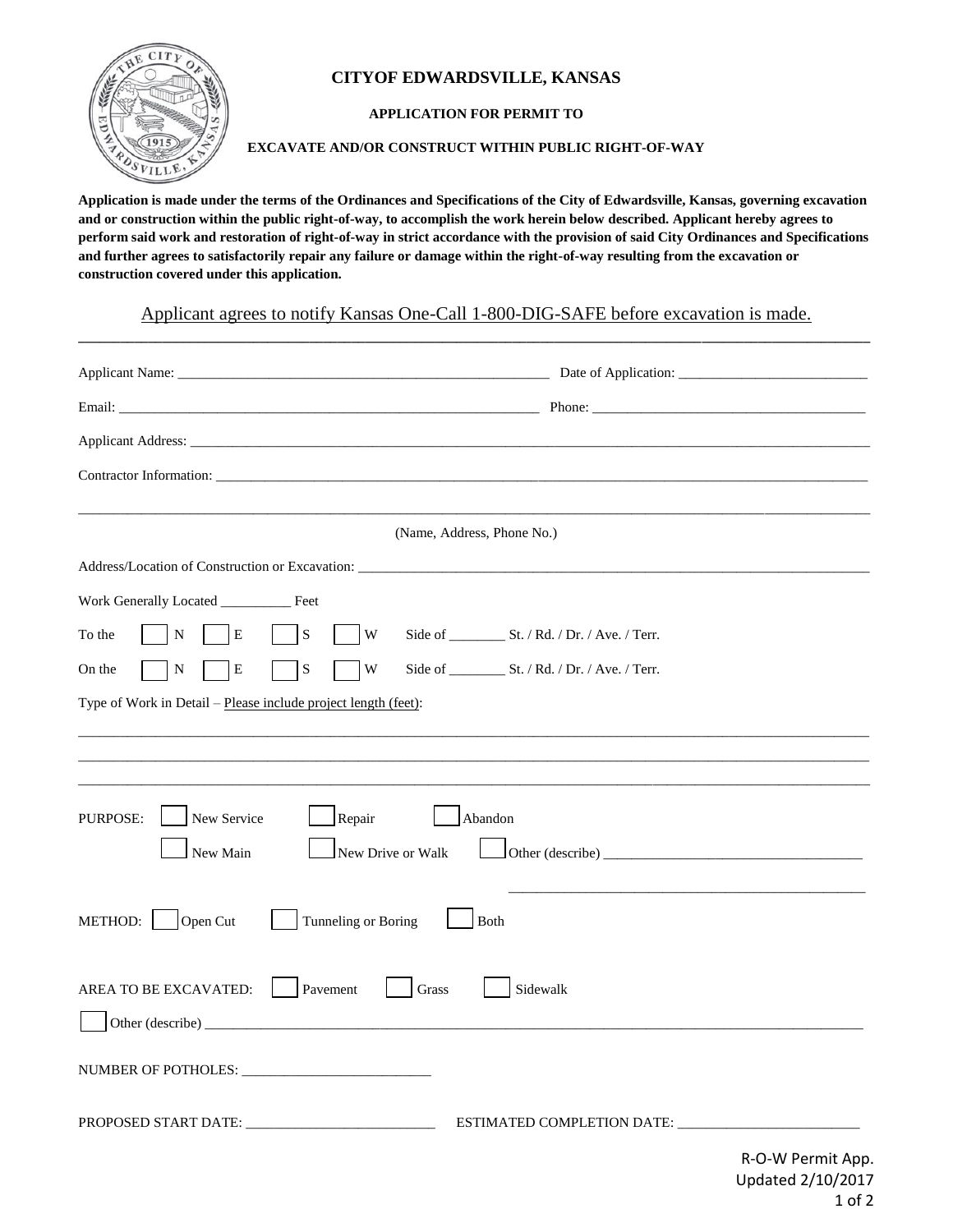

## **CITYOF EDWARDSVILLE, KANSAS**

## **APPLICATION FOR PERMIT TO**

**EXCAVATE AND/OR CONSTRUCT WITHIN PUBLIC RIGHT-OF-WAY**

**Application is made under the terms of the Ordinances and Specifications of the City of Edwardsville, Kansas, governing excavation and or construction within the public right-of-way, to accomplish the work herein below described. Applicant hereby agrees to perform said work and restoration of right-of-way in strict accordance with the provision of said City Ordinances and Specifications and further agrees to satisfactorily repair any failure or damage within the right-of-way resulting from the excavation or construction covered under this application.**

Applicant agrees to notify Kansas One-Call 1-800-DIG-SAFE before excavation is made. **\_\_\_\_\_\_\_\_\_\_\_\_\_\_\_\_\_\_\_\_\_\_\_\_\_\_\_\_\_\_\_\_\_\_\_\_\_\_\_\_\_\_\_\_\_\_\_\_\_\_\_\_\_\_\_\_\_\_\_\_\_\_\_\_\_\_\_\_\_\_\_\_\_\_\_\_\_\_\_\_\_\_\_\_\_\_\_\_\_\_\_\_\_\_\_\_\_\_\_\_\_\_\_\_\_\_\_\_\_\_\_\_\_**

|                                                                                   | (Name, Address, Phone No.) |  |  |  |  |
|-----------------------------------------------------------------------------------|----------------------------|--|--|--|--|
| Address/Location of Construction or Excavation: _________________________________ |                            |  |  |  |  |
| Work Generally Located __________ Feet                                            |                            |  |  |  |  |
| Е<br>S<br>W<br>To the<br>N                                                        |                            |  |  |  |  |
| W<br>On the<br>Е<br>S<br>N                                                        |                            |  |  |  |  |
| Type of Work in Detail – Please include project length (feet):                    |                            |  |  |  |  |
|                                                                                   |                            |  |  |  |  |
|                                                                                   |                            |  |  |  |  |
| PURPOSE:<br>New Service<br>Repair                                                 | Abandon                    |  |  |  |  |
| New Main<br>New Drive or Walk                                                     |                            |  |  |  |  |
|                                                                                   |                            |  |  |  |  |
| Open Cut<br>Tunneling or Boring<br>METHOD:                                        | Both                       |  |  |  |  |
|                                                                                   |                            |  |  |  |  |
| AREA TO BE EXCAVATED:<br>Pavement                                                 | Sidewalk<br>Grass          |  |  |  |  |
|                                                                                   |                            |  |  |  |  |
|                                                                                   |                            |  |  |  |  |
|                                                                                   |                            |  |  |  |  |
|                                                                                   |                            |  |  |  |  |
|                                                                                   | R-O-W Permit App.          |  |  |  |  |

Updated 2/10/2017 1 of 2